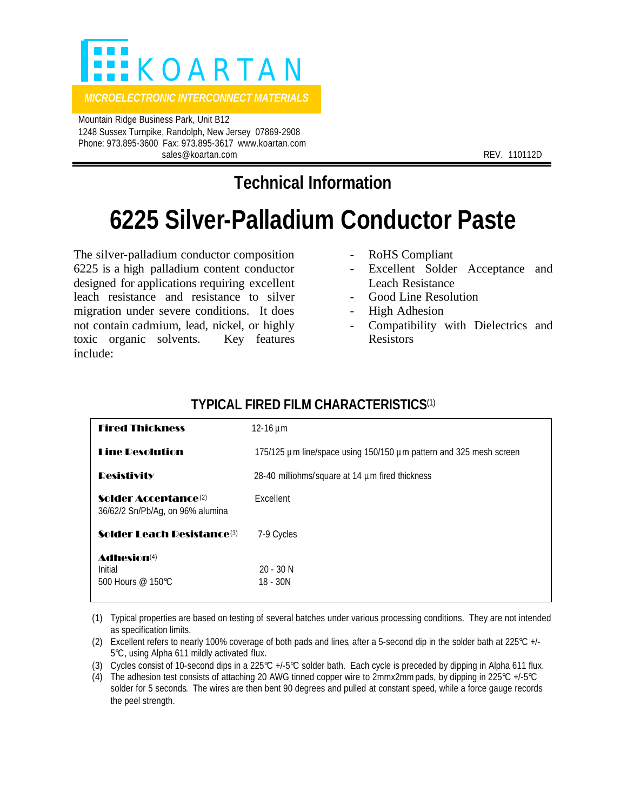

 Mountain Ridge Business Park, Unit B12 1248 Sussex Turnpike, Randolph, New Jersey 07869-2908 Phone: 973.895-3600 Fax: 973.895-3617 www.koartan.com sales@koartan.com **REV. 110112D** 

**Technical Information**

## **6225 Silver-Palladium Conductor Paste**

The silver-palladium conductor composition 6225 is a high palladium content conductor designed for applications requiring excellent leach resistance and resistance to silver migration under severe conditions. It does not contain cadmium, lead, nickel, or highly toxic organic solvents. Key features include:

- RoHS Compliant
- Excellent Solder Acceptance and Leach Resistance
- Good Line Resolution
- High Adhesion
- Compatibility with Dielectrics and Resistors

## **TYPICAL FIRED FILM CHARACTERISTICS**(1)

| <b>Fired Thickness</b>                                               | 12-16 $\mu$ m                                                      |
|----------------------------------------------------------------------|--------------------------------------------------------------------|
| <b>Line Resolution</b>                                               | 175/125 µm line/space using 150/150 µm pattern and 325 mesh screen |
| <b>Desistivity</b>                                                   | 28-40 milliohms/square at 14 µm fired thickness                    |
| Solder Acceptance <sup>(2)</sup><br>36/62/2 Sn/Pb/Ag, on 96% alumina | Excellent                                                          |
| <b>Solder Leach Resistance</b> (3)                                   | 7-9 Cycles                                                         |
| Adhesin(4)<br>Initial<br>500 Hours @ 150℃                            | $20 - 30N$<br>18 - 30N                                             |

(1) Typical properties are based on testing of several batches under various processing conditions. They are not intended as specification limits.

- (2) Excellent refers to nearly 100% coverage of both pads and lines, after a 5-second dip in the solder bath at 225°C +/- 5°C, using Alpha 611 mildly activated flux.
- (3) Cycles consist of 10-second dips in a 225°C +/-5°C solder bath. Each cycle is preceded by dipping in Alpha 611 flux.
- (4) The adhesion test consists of attaching 20 AWG tinned copper wire to 2mmx2mm pads, by dipping in 225°C +/-5°C solder for 5 seconds. The wires are then bent 90 degrees and pulled at constant speed, while a force gauge records the peel strength.